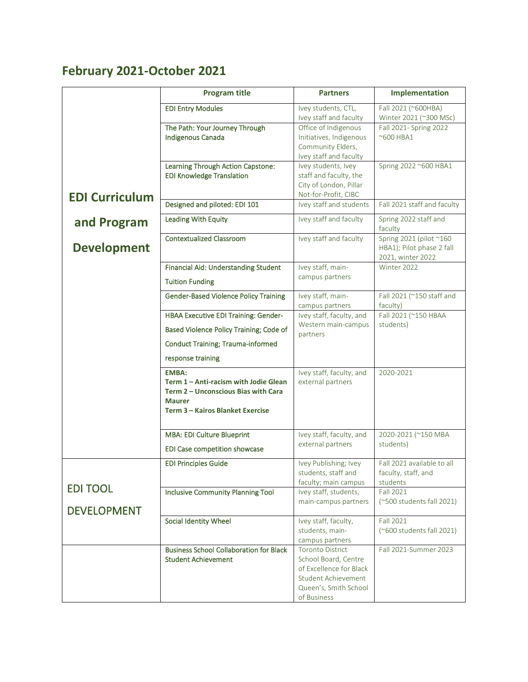## **February 2021-October 2021**

|                       | <b>Program title</b>                                                                                                                              | <b>Partners</b>                                                                                                                           | Implementation                                                            |
|-----------------------|---------------------------------------------------------------------------------------------------------------------------------------------------|-------------------------------------------------------------------------------------------------------------------------------------------|---------------------------------------------------------------------------|
|                       | <b>EDI Entry Modules</b>                                                                                                                          | Ivey students, CTL,<br>Ivey staff and faculty                                                                                             | Fall 2021 (~600HBA)<br>Winter 2021 (~300 MSc)                             |
|                       | The Path: Your Journey Through<br>Indigenous Canada                                                                                               | Office of Indigenous<br>Initiatives, Indigenous<br>Community Elders,<br>Ivey staff and faculty                                            | Fall 2021- Spring 2022<br>~600 HBA1                                       |
| <b>EDI Curriculum</b> | Learning Through Action Capstone:<br><b>EDI Knowledge Translation</b>                                                                             | Ivey students, Ivey<br>staff and faculty, the<br>City of London, Pillar<br>Not-for-Profit, CIBC                                           | Spring 2022 ~600 HBA1                                                     |
|                       | Designed and piloted: EDI 101                                                                                                                     | Ivey staff and students                                                                                                                   | Fall 2021 staff and faculty                                               |
| and Program           | <b>Leading With Equity</b>                                                                                                                        | Ivey staff and faculty                                                                                                                    | Spring 2022 staff and<br>faculty                                          |
| <b>Development</b>    | <b>Contextualized Classroom</b>                                                                                                                   | Ivey staff and faculty                                                                                                                    | Spring 2021 (pilot ~160<br>HBA1); Pilot phase 2 fall<br>2021, winter 2022 |
|                       | Financial Aid: Understanding Student<br><b>Tuition Funding</b>                                                                                    | Ivey staff, main-<br>campus partners                                                                                                      | Winter 2022                                                               |
|                       | <b>Gender-Based Violence Policy Training</b>                                                                                                      | Ivey staff, main-<br>campus partners                                                                                                      | Fall 2021 (~150 staff and<br>faculty)                                     |
|                       | HBAA Executive EDI Training: Gender-                                                                                                              | Ivey staff, faculty, and                                                                                                                  | Fall 2021 (~150 HBAA                                                      |
|                       | Based Violence Policy Training; Code of                                                                                                           | Western main-campus<br>partners                                                                                                           | students)                                                                 |
|                       | <b>Conduct Training; Trauma-informed</b>                                                                                                          |                                                                                                                                           |                                                                           |
|                       | response training                                                                                                                                 |                                                                                                                                           |                                                                           |
|                       | <b>EMBA:</b><br>Term 1 - Anti-racism with Jodie Glean<br>Term 2 - Unconscious Bias with Cara<br><b>Maurer</b><br>Term 3 - Kairos Blanket Exercise | Ivey staff, faculty, and<br>external partners                                                                                             | 2020-2021                                                                 |
|                       | MBA: EDI Culture Blueprint<br>EDI Case competition showcase                                                                                       | Ivey staff, faculty, and<br>external partners                                                                                             | 2020-2021 (~150 MBA<br>students)                                          |
|                       | <b>EDI Principles Guide</b>                                                                                                                       | Ivey Publishing; Ivey<br>students, staff and<br>faculty; main campus                                                                      | Fall 2021 available to all<br>faculty, staff, and<br>students             |
| <b>EDI TOOL</b>       | Inclusive Community Planning Tool                                                                                                                 | Ivey staff, students,                                                                                                                     | Fall 2021                                                                 |
| <b>DEVELOPMENT</b>    |                                                                                                                                                   | main-campus partners                                                                                                                      | (~500 students fall 2021)                                                 |
|                       | Social Identity Wheel                                                                                                                             | Ivey staff, faculty,<br>students, main-<br>campus partners                                                                                | <b>Fall 2021</b><br>(~600 students fall 2021)                             |
|                       | <b>Business School Collaboration for Black</b><br><b>Student Achievement</b>                                                                      | <b>Toronto District</b><br>School Board, Centre<br>of Excellence for Black<br>Student Achievement<br>Queen's, Smith School<br>of Business | Fall 2021-Summer 2023                                                     |